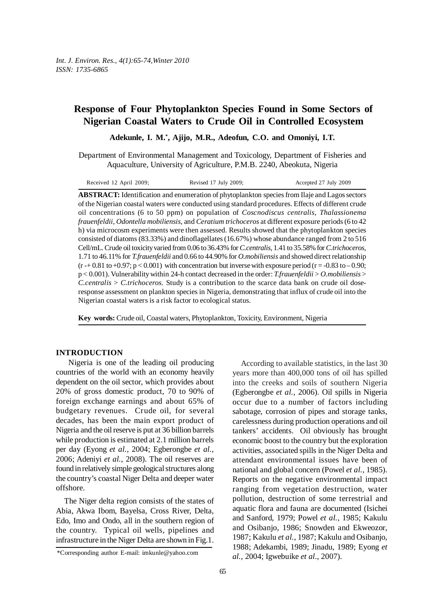# **Response of Four Phytoplankton Species Found in Some Sectors of Nigerian Coastal Waters to Crude Oil in Controlled Ecosystem**

**Adekunle, I. M.\* , Ajijo, M.R., Adeofun, C.O. and Omoniyi, I.T.**

Department of Environmental Management and Toxicology, Department of Fisheries and Aquaculture, University of Agriculture, P.M.B. 2240, Abeokuta, Nigeria

| Received 12 April 2009; | Revised 17 July 2009; | Accepted 27 July 2009 |
|-------------------------|-----------------------|-----------------------|
|-------------------------|-----------------------|-----------------------|

**ABSTRACT:** Identification and enumeration of phytoplankton species from Ilaje and Lagos sectors of the Nigerian coastal waters were conducted using standard procedures. Effects of different crude oil concentrations (6 to 50 ppm) on population of *Coscnodiscus centralis*, *Thalassionema frauenfeldii*, *Odontella mobiliensis*, and *Ceratium trichoceros* at different exposure periods (6 to 42 h) via microcosm experiments were then assessed. Results showed that the phytoplankton species consisted of diatoms (83.33%) and dinoflagellates (16.67%) whose abundance ranged from 2 to 516 Cell/mL. Crude oil toxicity varied from 0.06 to 36.43% for *C.centralis*, 1.41 to 35.58% for *C.trichoceros*, 1.71 to 46.11% for *T.frauenfeldii* and 0.66 to 44.90% for *O.mobiliensis* and showed direct relationship  $(r - 0.81 \text{ to } -0.97; p < 0.001)$  with concentration but inverse with exposure period  $(r = -0.83 \text{ to } -0.90;$ p < 0.001). Vulnerability within 24-h contact decreased in the order: *T.frauenfeldii* > *O.mobiliensis* > *C.centralis* > *C.trichoceros.* Study is a contribution to the scarce data bank on crude oil doseresponse assessment on plankton species in Nigeria, demonstrating that influx of crude oil into the Nigerian coastal waters is a risk factor to ecological status.

**Key words:** Crude oil, Coastal waters, Phytoplankton, Toxicity, Environment, Nigeria

### **INTRODUCTION**

Nigeria is one of the leading oil producing countries of the world with an economy heavily dependent on the oil sector, which provides about 20% of gross domestic product, 70 to 90% of foreign exchange earnings and about 65% of budgetary revenues. Crude oil, for several decades, has been the main export product of Nigeria and the oil reserve is put at 36 billion barrels while production is estimated at 2.1 million barrels per day (Eyong *et al.,* 2004; Egberongbe *et al.,* 2006; Adeniyi *et al.*, 2008). The oil reserves are found in relatively simple geological structures along the country's coastal Niger Delta and deeper water offshore.

The Niger delta region consists of the states of Abia, Akwa Ibom, Bayelsa, Cross River, Delta, Edo, Imo and Ondo, all in the southern region of the country. Typical oil wells, pipelines and infrastructure in the Niger Delta are shown in Fig.1.

According to available statistics, in the last 30 years more than 400,000 tons of oil has spilled into the creeks and soils of southern Nigeria (Egberongbe *et al.,* 2006). Oil spills in Nigeria occur due to a number of factors including sabotage, corrosion of pipes and storage tanks, carelessness during production operations and oil tankers' accidents. Oil obviously has brought economic boost to the country but the exploration activities, associated spills in the Niger Delta and attendant environmental issues have been of national and global concern (Powel *et al.,* 1985). Reports on the negative environmental impact ranging from vegetation destruction, water pollution, destruction of some terrestrial and aquatic flora and fauna are documented (Isichei and Sanford, 1979; Powel *et al.,* 1985; Kakulu and Osibanjo, 1986; Snowden and Ekweozor, 1987; Kakulu *et al.*, 1987; Kakulu and Osibanjo, 1988; Adekambi, 1989; Jinadu, 1989; Eyong *et al.*, 2004; Igwebuike *et al*., 2007).

<sup>\*</sup>Corresponding author E-mail: imkunle@yahoo.com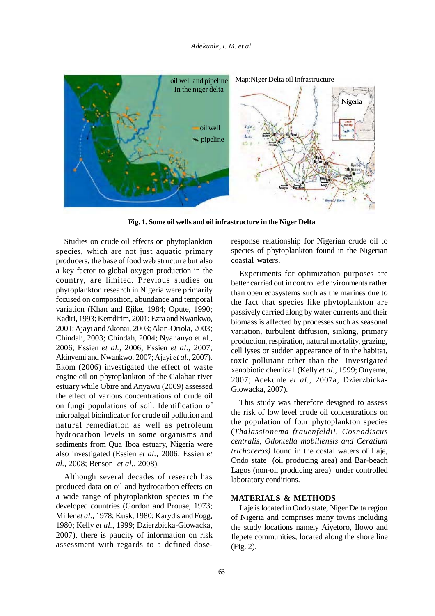

**Fig. 1. Some oil wells and oil infrastructure in the Niger Delta**

Studies on crude oil effects on phytoplankton species, which are not just aquatic primary producers, the base of food web structure but also a key factor to global oxygen production in the country, are limited. Previous studies on phytoplankton research in Nigeria were primarily focused on composition, abundance and temporal variation (Khan and Ejike, 1984; Opute, 1990; Kadiri, 1993; Kemdirim, 2001; Ezra and Nwankwo, 2001; Ajayi and Akonai, 2003; Akin-Oriola, 2003; Chindah, 2003; Chindah, 2004; Nyananyo et al., 2006; Essien *et al.,* 2006; Essien *et al.*, 2007; Akinyemi and Nwankwo, 2007; Ajayi *et al.*, 2007). Ekom (2006) investigated the effect of waste engine oil on phytoplankton of the Calabar river estuary while Obire and Anyawu (2009) assessed the effect of various concentrations of crude oil on fungi populations of soil. Identification of microalgal bioindicator for crude oil pollution and natural remediation as well as petroleum hydrocarbon levels in some organisms and sediments from Qua Iboa estuary, Nigeria were also investigated (Essien *et al.,* 2006; Essien *et al.*, 2008; Benson *et al.,* 2008).

Although several decades of research has produced data on oil and hydrocarbon effects on a wide range of phytoplankton species in the developed countries (Gordon and Prouse, 1973; Miller *et al.,* 1978; Kusk, 1980; Karydis and Fogg, 1980; Kelly *et al.,* 1999; Dzierzbicka-Glowacka, 2007), there is paucity of information on risk assessment with regards to a defined doseresponse relationship for Nigerian crude oil to species of phytoplankton found in the Nigerian coastal waters.

Experiments for optimization purposes are better carried out in controlled environments rather than open ecosystems such as the marines due to the fact that species like phytoplankton are passively carried along by water currents and their biomass is affected by processes such as seasonal variation, turbulent diffusion, sinking, primary production, respiration, natural mortality, grazing, cell lyses or sudden appearance of in the habitat, toxic pollutant other than the investigated xenobiotic chemical (Kelly *et al.,* 1999; Onyema, 2007; Adekunle *et al.,* 2007a; Dzierzbicka-Glowacka, 2007).

This study was therefore designed to assess the risk of low level crude oil concentrations on the population of four phytoplankton species (*Thalassionema frauenfeldii, Cosnodiscus centralis*, *Odontella mobiliensis and Ceratium trichoceros)* found in the costal waters of Ilaje, Ondo state (oil producing area) and Bar-beach Lagos (non-oil producing area) under controlled laboratory conditions.

#### **MATERIALS & METHODS**

Ilaje is located in Ondo state, Niger Delta region of Nigeria and comprises many towns including the study locations namely Aiyetoro, Ilowo and Ilepete communities, located along the shore line (Fig. 2).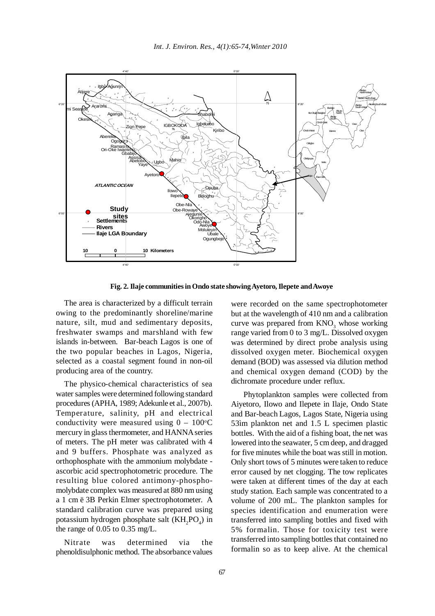

**Fig. 2. Ilaje communities in Ondo state showing Ayetoro, Ilepete and Awoye**

The area is characterized by a difficult terrain owing to the predominantly shoreline/marine nature, silt, mud and sedimentary deposits, freshwater swamps and marshland with few islands in-between. Bar-beach Lagos is one of the two popular beaches in Lagos, Nigeria, selected as a coastal segment found in non-oil producing area of the country.

The physico-chemical characteristics of sea water samples were determined following standard procedures (APHA, 1989; Adekunle et al., 2007b). Temperature, salinity, pH and electrical conductivity were measured using  $0 - 100^{\circ}$ C mercury in glass thermometer, and HANNA series of meters. The pH meter was calibrated with 4 and 9 buffers. Phosphate was analyzed as orthophosphate with the ammonium molybdate ascorbic acid spectrophotometric procedure. The resulting blue colored antimony-phosphomolybdate complex was measured at 880 nm using a 1 cm ë 3B Perkin Elmer spectrophotometer. A standard calibration curve was prepared using potassium hydrogen phosphate salt  $(KH_2PO_4)$  in the range of 0.05 to 0.35 mg/L.

Nitrate was determined via the phenoldisulphonic method. The absorbance values were recorded on the same spectrophotometer but at the wavelength of 410 nm and a calibration curve was prepared from  $KNO<sub>3</sub>$  whose working range varied from 0 to 3 mg/L. Dissolved oxygen was determined by direct probe analysis using dissolved oxygen meter. Biochemical oxygen demand (BOD) was assessed via dilution method and chemical oxygen demand (COD) by the dichromate procedure under reflux.

Phytoplankton samples were collected from Aiyetoro, Ilowo and Ilepete in Ilaje, Ondo State and Bar-beach Lagos, Lagos State, Nigeria using 53ìm plankton net and 1.5 L specimen plastic bottles. With the aid of a fishing boat, the net was lowered into the seawater, 5 cm deep, and dragged for five minutes while the boat was still in motion. Only short tows of 5 minutes were taken to reduce error caused by net clogging. The tow replicates were taken at different times of the day at each study station. Each sample was concentrated to a volume of 200 mL. The plankton samples for species identification and enumeration were transferred into sampling bottles and fixed with 5% formalin. Those for toxicity test were transferred into sampling bottles that contained no formalin so as to keep alive. At the chemical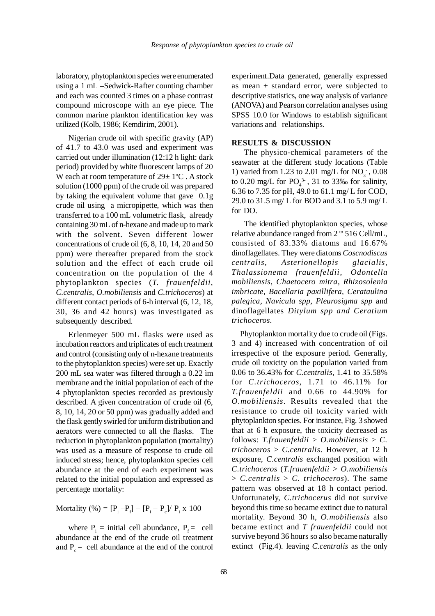laboratory, phytoplankton species were enumerated using a 1 mL –Sedwick-Rafter counting chamber and each was counted 3 times on a phase contrast compound microscope with an eye piece. The common marine plankton identification key was utilized (Kolb, 1986; Kemdirim, 2001).

Nigerian crude oil with specific gravity (AP) of 41.7 to 43.0 was used and experiment was carried out under illumination (12:12 h light: dark period) provided by white fluorescent lamps of 20 W each at room temperature of  $29 \pm 1$ °C. A stock solution (1000 ppm) of the crude oil was prepared by taking the equivalent volume that gave 0.1g crude oil using a micropipette, which was then transferred to a 100 mL volumetric flask, already containing 30 mL of n-hexane and made up to mark with the solvent. Seven different lower concentrations of crude oil (6, 8, 10, 14, 20 and 50 ppm) were thereafter prepared from the stock solution and the effect of each crude oil concentration on the population of the 4 phytoplankton species (*T. frauenfeldii*, *C.centralis*, *O.mobiliensis* and *C.trichoceros*) at different contact periods of 6-h interval (6, 12, 18, 30, 36 and 42 hours) was investigated as subsequently described.

Erlenmeyer 500 mL flasks were used as incubation reactors and triplicates of each treatment and control (consisting only of n-hexane treatments to the phytoplankton species) were set up. Exactly 200 mL sea water was filtered through a 0.22 ìm membrane and the initial population of each of the 4 phytoplankton species recorded as previously described. A given concentration of crude oil (6, 8, 10, 14, 20 or 50 ppm) was gradually added and the flask gently swirled for uniform distribution and aerators were connected to all the flasks. The reduction in phytoplankton population (mortality) was used as a measure of response to crude oil induced stress; hence, phytoplankton species cell abundance at the end of each experiment was related to the initial population and expressed as percentage mortality:

Mortality (%) =  $[P_i - P_f] - [P_i - P_c] / P_i \times 100$ 

where  $P_i$  = initial cell abundance,  $P_f$  = cell abundance at the end of the crude oil treatment and  $P_c$  = cell abundance at the end of the control

experiment.Data generated, generally expressed as mean  $\pm$  standard error, were subjected to descriptive statistics, one way analysis of variance (ANOVA) and Pearson correlation analyses using SPSS 10.0 for Windows to establish significant variations and relationships.

#### **RESULTS & DISCUSSION**

The physico-chemical parameters of the seawater at the different study locations (Table 1) varied from 1.23 to 2.01 mg/L for  $NO_3^-$ , 0.08 to 0.20 mg/L for  $PO_4^{3}$ , 31 to 33‰ for salinity, 6.36 to 7.35 for pH, 49.0 to 61.1 mg/ L for COD, 29.0 to 31.5 mg/ L for BOD and 3.1 to 5.9 mg/ L for DO.

The identified phytoplankton species, whose relative abundance ranged from  $2^{10}$  516 Cell/mL, consisted of 83.33% diatoms and 16.67% dinoflagellates. They were diatoms *Coscnodiscus centralis, Asterionellopis glacialis, Thalassionema frauenfeldii, Odontella mobiliensis, Chaetocero mitra, Rhizosolenia imbricate, Bacellaria paxillifera, Cerataulina palegica, Navicula spp, Pleurosigma spp* and dinoflagellates *Ditylum spp and Ceratium trichoceros.*

Phytoplankton mortality due to crude oil (Figs. 3 and 4) increased with concentration of oil irrespective of the exposure period. Generally, crude oil toxicity on the population varied from 0.06 to 36.43% for *C.centralis*, 1.41 to 35.58% for *C.trichoceros*, 1.71 to 46.11% for *T.frauenfeldii* and 0.66 to 44.90% for *O.mobiliensis*. Results revealed that the resistance to crude oil toxicity varied with phytoplankton species. For instance, Fig. 3 showed that at 6 h exposure, the toxicity decreased as follows: *T.frauenfeldii* > *O.mobiliensis* > *C. trichoceros* > *C.centralis*. However, at 12 h exposure, *C.centralis* exchanged position with *C.trichoceros* (*T.frauenfeldii* > *O.mobiliensis* > *C.centralis* > *C. trichoceros*). The same pattern was observed at 18 h contact period. Unfortunately, *C.trichocerus* did not survive beyond this time so became extinct due to natural mortality. Beyond 30 h, *O.mobiliensis* also became extinct and *T frauenfeldii* could not survive beyond 36 hours so also became naturally extinct (Fig.4). leaving *C.centralis* as the only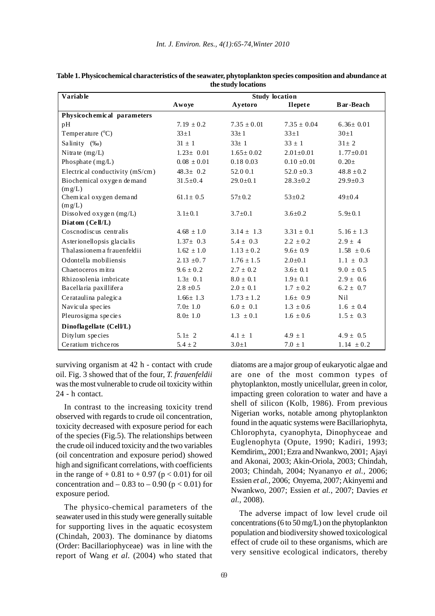| Variable                            | <b>Study location</b> |                 |                 |                  |
|-------------------------------------|-----------------------|-----------------|-----------------|------------------|
|                                     | Awoye                 | Ayetoro         | <b>Ilepete</b>  | <b>Bar-Beach</b> |
| Physicochemical parameters          |                       |                 |                 |                  |
| pH                                  | $7.19 \pm 0.2$        | $7.35 + 0.01$   | $7.35 + 0.04$   | $6.36 \pm 0.01$  |
| Temperature $(^{\circ}C)$           | $33\pm1$              | $33 \pm 1$      | $33+1$          | $30+1$           |
| Salinity (‰)                        | $31 \pm 1$            | $33 \pm 1$      | $33 \pm 1$      | $31 \pm 2$       |
| Nitrate $(mg/L)$                    | $1.23 \pm 0.01$       | $1.65 \pm 0.02$ | $2.01 \pm 0.01$ | $1.77 \pm 0.01$  |
| Phosphate $(mg/L)$                  | $0.08 \pm 0.01$       | 0.18 0.03       | $0.10 \pm 0.01$ | $0.20 \pm$       |
| Electrical conductivity (mS/cm)     | $48.3 \pm 0.2$        | 52.00.1         | $52.0 \pm 0.3$  | $48.8 \pm 0.2$   |
| Biochemical oxygen demand<br>(mg/L) | $31.5 \pm 0.4$        | $29.0 \pm 0.1$  | $28.3 \pm 0.2$  | $29.9 \pm 0.3$   |
| Chemical oxygen demand<br>(mg/L)    | $61.1 \pm 0.5$        | $57 \pm 0.2$    | $53 \pm 0.2$    | $49 \pm 0.4$     |
| Dissolved oxygen (mg/L)             | $3.1 \pm 0.1$         | $3.7 \pm 0.1$   | $3.6 \pm 0.2$   | $5.9 \pm 0.1$    |
| Diatom (Cell/L)                     |                       |                 |                 |                  |
| Coscnodiscus centralis              | $4.68 \pm 1.0$        | $3.14 \pm 1.3$  | $3.31 \pm 0.1$  | $5.16 \pm 1.3$   |
| Asterionellopsis glacialis          | $1.37 \pm 0.3$        | $5.4 \pm 0.3$   | $2.2 \pm 0.2$   | $2.9 \pm 4$      |
| Thalassionema frauenfeldii          | $1.62 \pm 1.0$        | $1.13 \pm 0.2$  | $9.6 \pm 0.9$   | $1.58 \pm 0.6$   |
| Odontella mobiliensis               | $2.13 \pm 0.7$        | $1.76 \pm 1.5$  | $2.0 \pm 0.1$   | $1.1 \pm 0.3$    |
| Chaetoceros mitra                   | $9.6 \pm 0.2$         | $2.7 \pm 0.2$   | $3.6 \pm 0.1$   | $9.0 \pm 0.5$    |
| Rhizosolenia imbricate              | $1.3 \pm 0.1$         | $8.0 \pm 0.1$   | $1.9 \pm 0.1$   | $2.9 \pm 0.6$    |
| Bacellaria paxillifera              | $2.8 \pm 0.5$         | $2.0 \pm 0.1$   | $1.7 \pm 0.2$   | $6.2 \pm 0.7$    |
| Cerataulina palegica                | $1.66 \pm 1.3$        | $1.73 \pm 1.2$  | $1.6 \pm 0.9$   | Nil              |
| Navicula species                    | $7.0 \pm 1.0$         | $6.0 \pm 0.1$   | $1.3 \pm 0.6$   | $1.6 \pm 0.4$    |
| Pleurosigma species                 | $8.0 \pm 1.0$         | $1.3 \pm 0.1$   | $1.6 \pm 0.6$   | $1.5 \pm 0.3$    |
| Dinoflagellate (Cell/L)             |                       |                 |                 |                  |
| Ditylum species                     | 5.1 $\pm$ 2           | $4.1 \pm 1$     | $4.9 \pm 1$     | $4.9 \pm 0.5$    |
| Ceratium trichceros                 | $5.4 \pm 2$           | $3.0 \pm 1$     | $7.0 \pm 1$     | $1.14 \pm 0.2$   |

**Table 1. Physicochemical characteristics of the seawater, phytoplankton species composition and abundance at the study locations**

surviving organism at 42 h - contact with crude oil. Fig. 3 showed that of the four, *T. frauenfeldii* was the most vulnerable to crude oil toxicity within 24 - h contact.

In contrast to the increasing toxicity trend observed with regards to crude oil concentration, toxicity decreased with exposure period for each of the species (Fig.5). The relationships between the crude oil induced toxicity and the two variables (oil concentration and exposure period) showed high and significant correlations, with coefficients in the range of  $+ 0.81$  to  $+ 0.97$  ( $p < 0.01$ ) for oil concentration and  $-0.83$  to  $-0.90$  (p  $< 0.01$ ) for exposure period.

The physico-chemical parameters of the seawater used in this study were generally suitable for supporting lives in the aquatic ecosystem (Chindah, 2003). The dominance by diatoms (Order: Bacillariophyceae) was in line with the report of Wang *et al.* (2004) who stated that

diatoms are a major group of eukaryotic algae and are one of the most common types of phytoplankton, mostly unicellular, green in color, impacting green coloration to water and have a shell of silicon (Kolb, 1986). From previous Nigerian works, notable among phytoplankton found in the aquatic systems were Bacillariophyta, Chlorophyta, cyanophyta, Dinophyceae and Euglenophyta (Opute, 1990; Kadiri, 1993; Kemdirim,, 2001; Ezra and Nwankwo, 2001; Ajayi and Akonai, 2003; Akin-Oriola, 2003; Chindah, 2003; Chindah, 2004; Nyananyo *et al.,* 2006; Essien *et al.,* 2006; Onyema, 2007; Akinyemi and Nwankwo, 2007; Essien *et al.*, 2007; Davies *et al.,* 2008).

The adverse impact of low level crude oil concentrations (6 to 50 mg/L) on the phytoplankton population and biodiversity showed toxicological effect of crude oil to these organisms, which are very sensitive ecological indicators, thereby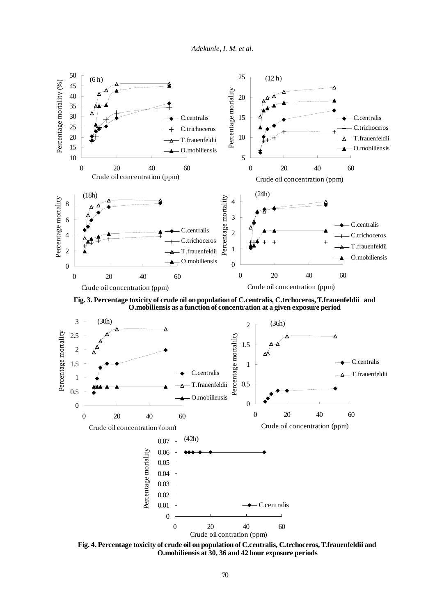*Adekunle, I. M. et al.*



**Fig. 3. Percentage toxicity of crude oil on population of C.centralis, C.trchoceros, T.frauenfeldii and O.mobiliensis as a function of concentration at a given exposure period**



**Fig. 4. Percentage toxicity of crude oil on population of C.centralis, C.trchoceros, T.frauenfeldii and O.mobiliensis at 30, 36 and 42 hour exposure periods**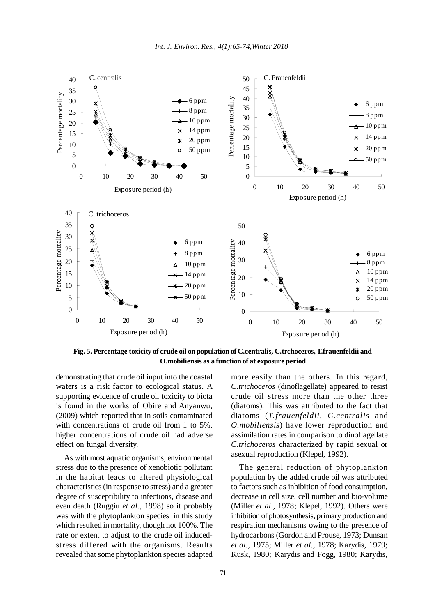

**Fig. 5. Percentage toxicity of crude oil on population of C.centralis, C.trchoceros, T.frauenfeldii and O.mobiliensis as a function of at exposure period**

demonstrating that crude oil input into the coastal waters is a risk factor to ecological status. A supporting evidence of crude oil toxicity to biota is found in the works of Obire and Anyanwu, (2009) which reported that in soils contaminated with concentrations of crude oil from 1 to 5%, higher concentrations of crude oil had adverse effect on fungal diversity.

As with most aquatic organisms, environmental stress due to the presence of xenobiotic pollutant in the habitat leads to altered physiological characteristics (in response to stress) and a greater degree of susceptibility to infections, disease and even death (Ruggiu *et al.*, 1998) so it probably was with the phytoplankton species in this study which resulted in mortality, though not 100%. The rate or extent to adjust to the crude oil inducedstress differed with the organisms. Results revealed that some phytoplankton species adapted

more easily than the others. In this regard, *C.trichoceros* (dinoflagellate) appeared to resist crude oil stress more than the other three (diatoms). This was attributed to the fact that diatoms (*T.frauenfeldii*, *C.centralis* and *O.mobiliensis*) have lower reproduction and assimilation rates in comparison to dinoflagellate *C.trichoceros* characterized by rapid sexual or asexual reproduction (Klepel, 1992).

The general reduction of phytoplankton population by the added crude oil was attributed to factors such as inhibition of food consumption, decrease in cell size, cell number and bio-volume (Miller *et al.,* 1978; Klepel, 1992). Others were inhibition of photosynthesis, primary production and respiration mechanisms owing to the presence of hydrocarbons (Gordon and Prouse, 1973; Dunsan *et al.*, 1975; Miller *et al.,* 1978; Karydis, 1979; Kusk, 1980; Karydis and Fogg, 1980; Karydis,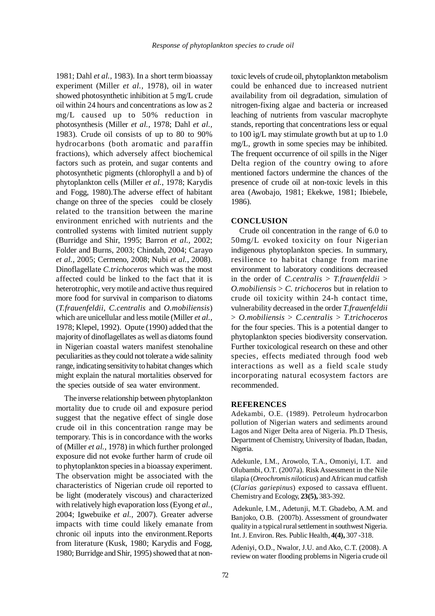1981; Dahl *et al.,* 1983). In a short term bioassay experiment (Miller *et al.,* 1978), oil in water showed photosynthetic inhibition at 5 mg/L crude oil within 24 hours and concentrations as low as 2 mg/L caused up to 50% reduction in photosynthesis (Miller *et al.,* 1978; Dahl *et al.,* 1983). Crude oil consists of up to 80 to 90% hydrocarbons (both aromatic and paraffin fractions), which adversely affect biochemical factors such as protein, and sugar contents and photosynthetic pigments (chlorophyll a and b) of phytoplankton cells (Miller *et al.*, 1978; Karydis and Fogg, 1980).The adverse effect of habitant change on three of the species could be closely related to the transition between the marine environment enriched with nutrients and the controlled systems with limited nutrient supply (Burridge and Shir, 1995; Barron *et al.,* 2002; Folder and Burns, 2003; Chindah, 2004; Carayo *et al.,* 2005; Cermeno, 2008; Nubi *et al.*, 2008). Dinoflagellate *C.trichoceros* which was the most affected could be linked to the fact that it is heterotrophic, very motile and active thus required more food for survival in comparison to diatoms (*T.frauenfeldii*, *C.centralis* and *O.mobiliensis*) which are unicellular and less motile (Miller *et al.,* 1978; Klepel, 1992). Opute (1990) added that the majority of dinoflagellates as well as diatoms found in Nigerian coastal waters manifest stenohaline peculiarities as they could not tolerate a wide salinity range, indicating sensitivity to habitat changes which might explain the natural mortalities observed for the species outside of sea water environment.

The inverse relationship between phytoplankton mortality due to crude oil and exposure period suggest that the negative effect of single dose crude oil in this concentration range may be temporary. This is in concordance with the works of (Miller *et al.,* 1978) in which further prolonged exposure did not evoke further harm of crude oil to phytoplankton species in a bioassay experiment. The observation might be associated with the characteristics of Nigerian crude oil reported to be light (moderately viscous) and characterized with relatively high evaporation loss (Eyong *et al.*, 2004; Igwebuike *et al.,* 2007). Greater adverse impacts with time could likely emanate from chronic oil inputs into the environment.Reports from literature (Kusk, 1980; Karydis and Fogg, 1980; Burridge and Shir, 1995) showed that at nontoxic levels of crude oil, phytoplankton metabolism could be enhanced due to increased nutrient availability from oil degradation, simulation of nitrogen-fixing algae and bacteria or increased leaching of nutrients from vascular macrophyte stands, reporting that concentrations less or equal to 100 ìg/L may stimulate growth but at up to 1.0 mg/L, growth in some species may be inhibited. The frequent occurrence of oil spills in the Niger Delta region of the country owing to afore mentioned factors undermine the chances of the presence of crude oil at non-toxic levels in this area (Awobajo, 1981; Ekekwe, 1981; Ibiebele, 1986).

## **CONCLUSION**

Crude oil concentration in the range of 6.0 to 50mg/L evoked toxicity on four Nigerian indigenous phytoplankton species. In summary, resilience to habitat change from marine environment to laboratory conditions decreased in the order of *C.centralis* > *T.frauenfeldii* > *O.mobiliensis* > *C. trichoceros* but in relation to crude oil toxicity within 24-h contact time, vulnerability decreased in the order *T.frauenfeldii* > *O.mobiliensis* > *C.centralis* > *T.trichoceros* for the four species. This is a potential danger to phytoplankton species biodiversity conservation. Further toxicological research on these and other species, effects mediated through food web interactions as well as a field scale study incorporating natural ecosystem factors are recommended.

## **REFERENCES**

Adekambi, O.E. (1989). Petroleum hydrocarbon pollution of Nigerian waters and sediments around Lagos and Niger Delta area of Nigeria. Ph.D Thesis, Department of Chemistry, University of Ibadan, Ibadan, Nigeria.

Adekunle, I.M., Arowolo, T.A., Omoniyi, I.T. and Olubambi, O.T. (2007a). Risk Assessment in the Nile tilapia (*Oreochromis niloticus*) and African mud catfish (*Clarias gariepinus*) exposed to cassava effluent. Chemistry and Ecology, **23(5),** 383-392.

 Adekunle, I.M., Adetunji, M.T. Gbadebo, A.M. and Banjoko, O.B. (2007b). Assessment of groundwater quality in a typical rural settlement in southwest Nigeria. Int. J. Environ. Res. Public Health, **4(4),** 307 -318.

Adeniyi, O.D., Nwalor, J.U. and Ako, C.T. (2008). A review on water flooding problems in Nigeria crude oil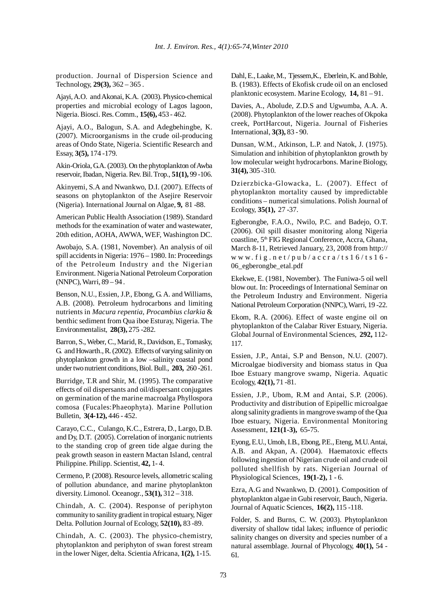production. Journal of Dispersion Science and Technology, **29(3),** 362 – 365 .

Ajayi, A.O. and Akonai, K.A. (2003). Physico-chemical properties and microbial ecology of Lagos lagoon, Nigeria. Biosci. Res. Comm., **15(6),** 453 - 462.

Ajayi, A.O., Balogun, S.A. and Adegbehingbe, K. (2007). Microorganisms in the crude oil-producing areas of Ondo State, Nigeria. Scientific Research and Essay, **3(5),** 174 -179.

Akin-Oriola, G.A. (2003). On the phytoplankton of Awba reservoir, Ibadan, Nigeria. Rev. Bil. Trop., **51(1),** 99 -106.

Akinyemi, S.A and Nwankwo, D.I. (2007). Effects of seasons on phytoplankton of the Asejire Reservoir (Nigeria). International Journal on Algae, **9,** 81 -88.

American Public Health Association (1989). Standard methods for the examination of water and wastewater, 20th edition, AOHA, AWWA, WEF, Washington DC.

Awobajo, S.A. (1981, November). An analysis of oil spill accidents in Nigeria: 1976 – 1980. In: Proceedings of the Petroleum Industry and the Nigerian Environment. Nigeria National Petroleum Corporation (NNPC), Warri, 89 – 94 .

Benson, N.U., Essien, J.P., Ebong, G. A. and Williams, A.B. (2008). Petroleum hydrocarbons and limiting nutrients in *Macura repentia*, *Procambius clarkia* & benthic sediment from Qua iboe Esturay, Nigeria. The Environmentalist, **28(3),** 275 -282.

Barron, S., Weber, C., Marid, R., Davidson, E., Tomasky, G. and Howarth., R. (2002). Effects of varying salinity on phytoplankton growth in a low –salinity coastal pond under two nutrient conditions, Biol. Bull., **203,** 260 -261.

Burridge, T.R and Shir, M. (1995). The comparative effects of oil dispersants and oil/dispersant conjugates on germination of the marine macroalga Phyllospora comosa (Fucales:Phaeophyta). Marine Pollution Bulletin, **3(4-12),** 446 - 452.

Carayo, C.C., Culango, K.C., Estrera, D., Largo, D.B. and Dy, D.T. (2005). Correlation of inorganic nutrients to the standing crop of green tide algae during the peak growth season in eastern Mactan Island, central Philippine. Philipp. Scientist, **42,** 1- 4.

Cermeno, P. (2008). Resource levels, allometric scaling of pollution abundance, and marine phytoplankton diversity. Limonol. Oceanogr., **53(1),** 312 – 318.

Chindah, A. C. (2004). Response of periphyton community to sanility gradient in tropical estuary, Niger Delta. Pollution Journal of Ecology, **52(10),** 83 -89.

Chindah, A. C. (2003). The physico-chemistry, phytoplankton and periphyton of swan forest stream in the lower Niger, delta. Scientia Africana, **1(2),** 1-15.

Dahl, E., Laake, M., Tjessem,K., Eberlein, K. and Bohle, B. (1983). Effects of Ekofisk crude oil on an enclosed planktonic ecosystem. Marine Ecology, **14,** 81 – 91.

Davies, A., Abolude, Z.D.S and Ugwumba, A.A. A. (2008). Phytoplankton of the lower reaches of Okpoka creek, PortHarcout, Nigeria. Journal of Fisheries International, **3(3),** 83 - 90.

Dunsan, W.M., Atkinson, L.P. and Natok, J. (1975). Simulation and inhibition of phytoplankton growth by low molecular weight hydrocarbons. Marine Biology, **31(4),** 305 -310.

Dzierzbicka-Glowacka, L. (2007). Effect of phytoplankton mortality caused by impredictable conditions – numerical simulations. Polish Journal of Ecology, **35(1),** 27 -37.

Egberongbe, F.A.O., Nwilo, P.C. and Badejo, O.T. (2006). Oil spill disaster monitoring along Nigeria coastline, 5<sup>th</sup> FIG Regional Conference, Accra, Ghana, March 8-11, Retrieved January, 23, 2008 from http:// www.fig.net/pub/accra/ts16/ts16-06\_egberongbe\_etal.pdf

Ekekwe, E. (1981, November). The Funiwa-5 oil well blow out. In: Proceedings of International Seminar on the Petroleum Industry and Environment. Nigeria National Petroleum Corporation (NNPC), Warri, 19 -22.

Ekom, R.A. (2006). Effect of waste engine oil on phytoplankton of the Calabar River Estuary, Nigeria. Global Journal of Environmental Sciences, **292,** 112- 117.

Essien, J.P., Antai, S.P and Benson, N.U. (2007). Microalgae biodiversity and biomass status in Qua Iboe Estuary mangrove swamp, Nigeria. Aquatic Ecology, **42(1),** 71 -81.

Essien, J.P., Ubom, R.M and Antai, S.P. (2006). Productivity and distribution of Epipellic microalgae along salinity gradients in mangrove swamp of the Qua Iboe estuary, Nigeria. Environmental Monitoring Assessment, **121(1-3),** 65**-**75.

Eyong, E.U., Umoh, I.B., Ebong, P.E., Eteng, M.U. Antai, A.B. and Akpan, A. (2004). Haematoxic effects following ingestion of Nigerian crude oil and crude oil polluted shellfish by rats. Nigerian Journal of Physiological Sciences, **19(1-2),** 1 - 6.

Ezra, A.G and Nwankwo, D. (2001). Composition of phytoplankton algae in Gubi reservoir, Bauch, Nigeria. Journal of Aquatic Sciences, **16(2),** 115 -118.

Folder, S. and Burns, C. W. (2003). Phytoplankton diversity of shallow tidal lakes; influence of periodic salinity changes on diversity and species number of a natural assemblage. Journal of Phycology, **40(1),** 54 - 61.